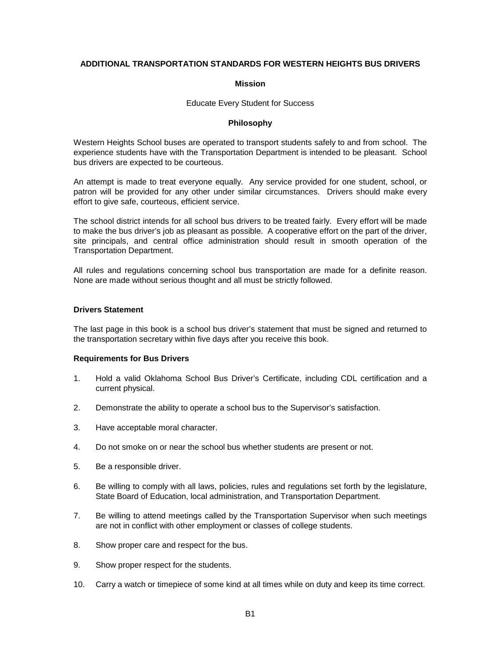## **ADDITIONAL TRANSPORTATION STANDARDS FOR WESTERN HEIGHTS BUS DRIVERS**

#### **Mission**

Educate Every Student for Success

#### **Philosophy**

Western Heights School buses are operated to transport students safely to and from school. The experience students have with the Transportation Department is intended to be pleasant. School bus drivers are expected to be courteous.

An attempt is made to treat everyone equally. Any service provided for one student, school, or patron will be provided for any other under similar circumstances. Drivers should make every effort to give safe, courteous, efficient service.

The school district intends for all school bus drivers to be treated fairly. Every effort will be made to make the bus driver's job as pleasant as possible. A cooperative effort on the part of the driver, site principals, and central office administration should result in smooth operation of the Transportation Department.

All rules and regulations concerning school bus transportation are made for a definite reason. None are made without serious thought and all must be strictly followed.

#### **Drivers Statement**

The last page in this book is a school bus driver's statement that must be signed and returned to the transportation secretary within five days after you receive this book.

## **Requirements for Bus Drivers**

- 1. Hold a valid Oklahoma School Bus Driver's Certificate, including CDL certification and a current physical.
- 2. Demonstrate the ability to operate a school bus to the Supervisor's satisfaction.
- 3. Have acceptable moral character.
- 4. Do not smoke on or near the school bus whether students are present or not.
- 5. Be a responsible driver.
- 6. Be willing to comply with all laws, policies, rules and regulations set forth by the legislature, State Board of Education, local administration, and Transportation Department.
- 7. Be willing to attend meetings called by the Transportation Supervisor when such meetings are not in conflict with other employment or classes of college students.
- 8. Show proper care and respect for the bus.
- 9. Show proper respect for the students.
- 10. Carry a watch or timepiece of some kind at all times while on duty and keep its time correct.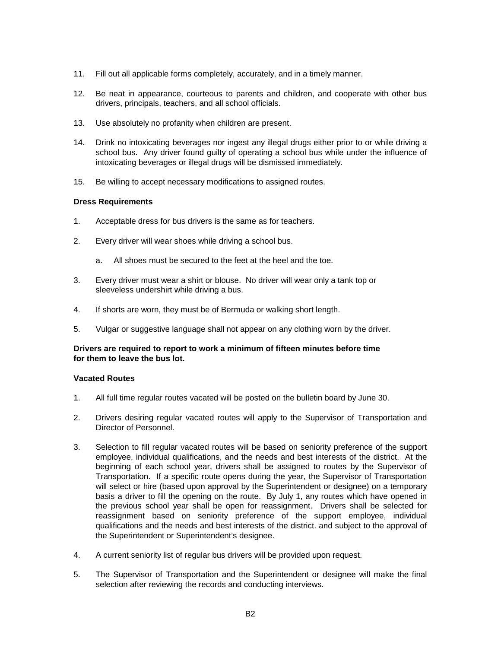- 11. Fill out all applicable forms completely, accurately, and in a timely manner.
- 12. Be neat in appearance, courteous to parents and children, and cooperate with other bus drivers, principals, teachers, and all school officials.
- 13. Use absolutely no profanity when children are present.
- 14. Drink no intoxicating beverages nor ingest any illegal drugs either prior to or while driving a school bus. Any driver found guilty of operating a school bus while under the influence of intoxicating beverages or illegal drugs will be dismissed immediately.
- 15. Be willing to accept necessary modifications to assigned routes.

## **Dress Requirements**

- 1. Acceptable dress for bus drivers is the same as for teachers.
- 2. Every driver will wear shoes while driving a school bus.
	- a. All shoes must be secured to the feet at the heel and the toe.
- 3. Every driver must wear a shirt or blouse. No driver will wear only a tank top or sleeveless undershirt while driving a bus.
- 4. If shorts are worn, they must be of Bermuda or walking short length.
- 5. Vulgar or suggestive language shall not appear on any clothing worn by the driver.

## **Drivers are required to report to work a minimum of fifteen minutes before time for them to leave the bus lot.**

# **Vacated Routes**

- 1. All full time regular routes vacated will be posted on the bulletin board by June 30.
- 2. Drivers desiring regular vacated routes will apply to the Supervisor of Transportation and Director of Personnel.
- 3. Selection to fill regular vacated routes will be based on seniority preference of the support employee, individual qualifications, and the needs and best interests of the district. At the beginning of each school year, drivers shall be assigned to routes by the Supervisor of Transportation. If a specific route opens during the year, the Supervisor of Transportation will select or hire (based upon approval by the Superintendent or designee) on a temporary basis a driver to fill the opening on the route. By July 1, any routes which have opened in the previous school year shall be open for reassignment. Drivers shall be selected for reassignment based on seniority preference of the support employee, individual qualifications and the needs and best interests of the district. and subject to the approval of the Superintendent or Superintendent's designee.
- 4. A current seniority list of regular bus drivers will be provided upon request.
- 5. The Supervisor of Transportation and the Superintendent or designee will make the final selection after reviewing the records and conducting interviews.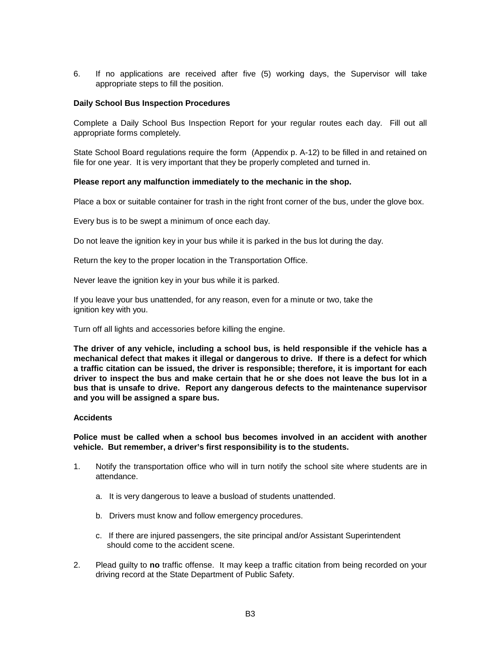6. If no applications are received after five (5) working days, the Supervisor will take appropriate steps to fill the position.

## **Daily School Bus Inspection Procedures**

Complete a Daily School Bus Inspection Report for your regular routes each day. Fill out all appropriate forms completely.

State School Board regulations require the form (Appendix p. A-12) to be filled in and retained on file for one year. It is very important that they be properly completed and turned in.

## **Please report any malfunction immediately to the mechanic in the shop.**

Place a box or suitable container for trash in the right front corner of the bus, under the glove box.

Every bus is to be swept a minimum of once each day.

Do not leave the ignition key in your bus while it is parked in the bus lot during the day.

Return the key to the proper location in the Transportation Office.

Never leave the ignition key in your bus while it is parked.

If you leave your bus unattended, for any reason, even for a minute or two, take the ignition key with you.

Turn off all lights and accessories before killing the engine.

**The driver of any vehicle, including a school bus, is held responsible if the vehicle has a mechanical defect that makes it illegal or dangerous to drive. If there is a defect for which a traffic citation can be issued, the driver is responsible; therefore, it is important for each driver to inspect the bus and make certain that he or she does not leave the bus lot in a bus that is unsafe to drive. Report any dangerous defects to the maintenance supervisor and you will be assigned a spare bus.**

## **Accidents**

**Police must be called when a school bus becomes involved in an accident with another vehicle. But remember, a driver's first responsibility is to the students.**

- 1. Notify the transportation office who will in turn notify the school site where students are in attendance.
	- a. It is very dangerous to leave a busload of students unattended.
	- b. Drivers must know and follow emergency procedures.
	- c. If there are injured passengers, the site principal and/or Assistant Superintendent should come to the accident scene.
- 2. Plead guilty to **no** traffic offense. It may keep a traffic citation from being recorded on your driving record at the State Department of Public Safety.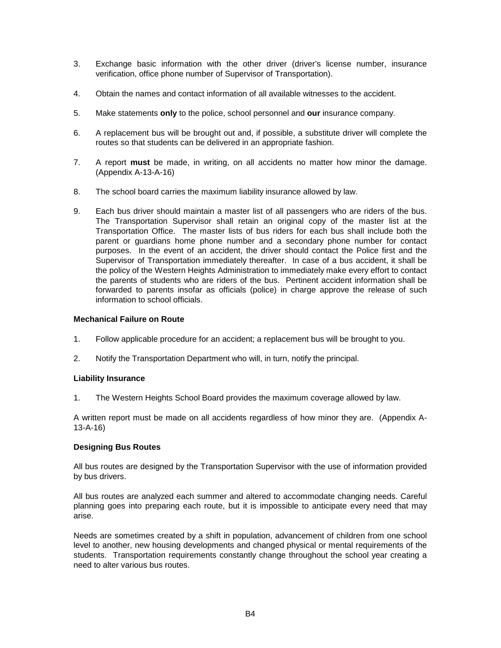- 3. Exchange basic information with the other driver (driver's license number, insurance verification, office phone number of Supervisor of Transportation).
- 4. Obtain the names and contact information of all available witnesses to the accident.
- 5. Make statements **only** to the police, school personnel and **our** insurance company.
- 6. A replacement bus will be brought out and, if possible, a substitute driver will complete the routes so that students can be delivered in an appropriate fashion.
- 7. A report **must** be made, in writing, on all accidents no matter how minor the damage. (Appendix A-13-A-16)
- 8. The school board carries the maximum liability insurance allowed by law.
- 9. Each bus driver should maintain a master list of all passengers who are riders of the bus. The Transportation Supervisor shall retain an original copy of the master list at the Transportation Office. The master lists of bus riders for each bus shall include both the parent or guardians home phone number and a secondary phone number for contact purposes. In the event of an accident, the driver should contact the Police first and the Supervisor of Transportation immediately thereafter. In case of a bus accident, it shall be the policy of the Western Heights Administration to immediately make every effort to contact the parents of students who are riders of the bus. Pertinent accident information shall be forwarded to parents insofar as officials (police) in charge approve the release of such information to school officials.

## **Mechanical Failure on Route**

- 1. Follow applicable procedure for an accident; a replacement bus will be brought to you.
- 2. Notify the Transportation Department who will, in turn, notify the principal.

## **Liability Insurance**

1. The Western Heights School Board provides the maximum coverage allowed by law.

A written report must be made on all accidents regardless of how minor they are. (Appendix A-13-A-16)

## **Designing Bus Routes**

All bus routes are designed by the Transportation Supervisor with the use of information provided by bus drivers.

All bus routes are analyzed each summer and altered to accommodate changing needs. Careful planning goes into preparing each route, but it is impossible to anticipate every need that may arise.

Needs are sometimes created by a shift in population, advancement of children from one school level to another, new housing developments and changed physical or mental requirements of the students. Transportation requirements constantly change throughout the school year creating a need to alter various bus routes.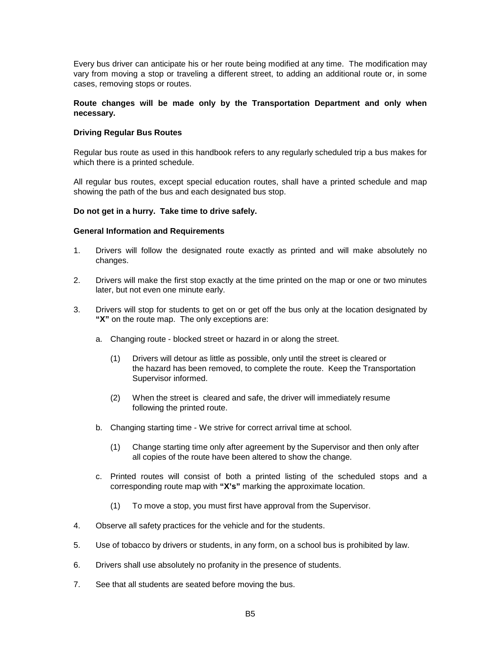Every bus driver can anticipate his or her route being modified at any time. The modification may vary from moving a stop or traveling a different street, to adding an additional route or, in some cases, removing stops or routes.

## **Route changes will be made only by the Transportation Department and only when necessary.**

## **Driving Regular Bus Routes**

Regular bus route as used in this handbook refers to any regularly scheduled trip a bus makes for which there is a printed schedule.

All regular bus routes, except special education routes, shall have a printed schedule and map showing the path of the bus and each designated bus stop.

## **Do not get in a hurry. Take time to drive safely.**

#### **General Information and Requirements**

- 1. Drivers will follow the designated route exactly as printed and will make absolutely no changes.
- 2. Drivers will make the first stop exactly at the time printed on the map or one or two minutes later, but not even one minute early.
- 3. Drivers will stop for students to get on or get off the bus only at the location designated by **"X"** on the route map. The only exceptions are:
	- a. Changing route blocked street or hazard in or along the street.
		- (1) Drivers will detour as little as possible, only until the street is cleared or the hazard has been removed, to complete the route. Keep the Transportation Supervisor informed.
		- (2) When the street is cleared and safe, the driver will immediately resume following the printed route.
	- b. Changing starting time We strive for correct arrival time at school.
		- (1) Change starting time only after agreement by the Supervisor and then only after all copies of the route have been altered to show the change.
	- c. Printed routes will consist of both a printed listing of the scheduled stops and a corresponding route map with **"X's"** marking the approximate location.
		- (1) To move a stop, you must first have approval from the Supervisor.
- 4. Observe all safety practices for the vehicle and for the students.
- 5. Use of tobacco by drivers or students, in any form, on a school bus is prohibited by law.
- 6. Drivers shall use absolutely no profanity in the presence of students.
- 7. See that all students are seated before moving the bus.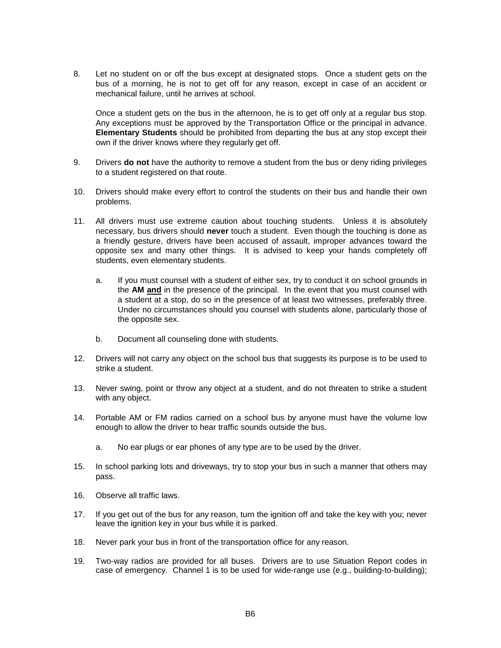8. Let no student on or off the bus except at designated stops. Once a student gets on the bus of a morning, he is not to get off for any reason, except in case of an accident or mechanical failure, until he arrives at school.

Once a student gets on the bus in the afternoon, he is to get off only at a regular bus stop. Any exceptions must be approved by the Transportation Office or the principal in advance. **Elementary Students** should be prohibited from departing the bus at any stop except their own if the driver knows where they regularly get off.

- 9. Drivers **do not** have the authority to remove a student from the bus or deny riding privileges to a student registered on that route.
- 10. Drivers should make every effort to control the students on their bus and handle their own problems.
- 11. All drivers must use extreme caution about touching students. Unless it is absolutely necessary, bus drivers should **never** touch a student. Even though the touching is done as a friendly gesture, drivers have been accused of assault, improper advances toward the opposite sex and many other things. It is advised to keep your hands completely off students, even elementary students.
	- a. If you must counsel with a student of either sex, try to conduct it on school grounds in the **AM and** in the presence of the principal. In the event that you must counsel with a student at a stop, do so in the presence of at least two witnesses, preferably three. Under no circumstances should you counsel with students alone, particularly those of the opposite sex.
	- b. Document all counseling done with students.
- 12. Drivers will not carry any object on the school bus that suggests its purpose is to be used to strike a student.
- 13. Never swing, point or throw any object at a student, and do not threaten to strike a student with any object.
- 14. Portable AM or FM radios carried on a school bus by anyone must have the volume low enough to allow the driver to hear traffic sounds outside the bus.
	- a. No ear plugs or ear phones of any type are to be used by the driver.
- 15. In school parking lots and driveways, try to stop your bus in such a manner that others may pass.
- 16. Observe all traffic laws.
- 17. If you get out of the bus for any reason, turn the ignition off and take the key with you; never leave the ignition key in your bus while it is parked.
- 18. Never park your bus in front of the transportation office for any reason.
- 19. Two-way radios are provided for all buses. Drivers are to use Situation Report codes in case of emergency. Channel 1 is to be used for wide-range use (e.g., building-to-building);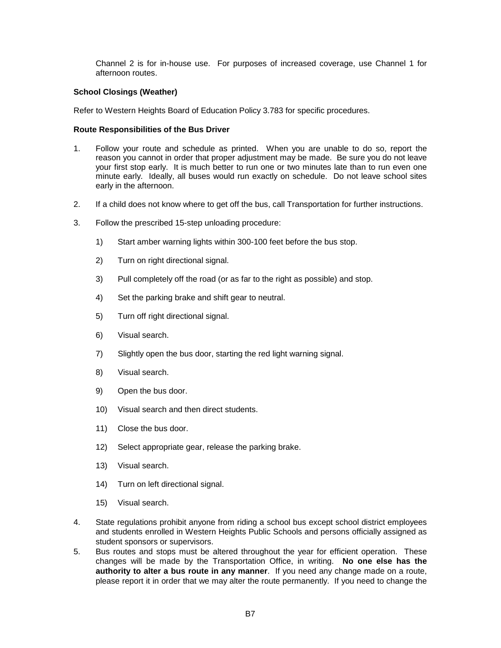Channel 2 is for in-house use. For purposes of increased coverage, use Channel 1 for afternoon routes.

## **School Closings (Weather)**

Refer to Western Heights Board of Education Policy 3.783 for specific procedures.

## **Route Responsibilities of the Bus Driver**

- 1. Follow your route and schedule as printed. When you are unable to do so, report the reason you cannot in order that proper adjustment may be made. Be sure you do not leave your first stop early. It is much better to run one or two minutes late than to run even one minute early. Ideally, all buses would run exactly on schedule. Do not leave school sites early in the afternoon.
- 2. If a child does not know where to get off the bus, call Transportation for further instructions.
- 3. Follow the prescribed 15-step unloading procedure:
	- 1) Start amber warning lights within 300-100 feet before the bus stop.
	- 2) Turn on right directional signal.
	- 3) Pull completely off the road (or as far to the right as possible) and stop.
	- 4) Set the parking brake and shift gear to neutral.
	- 5) Turn off right directional signal.
	- 6) Visual search.
	- 7) Slightly open the bus door, starting the red light warning signal.
	- 8) Visual search.
	- 9) Open the bus door.
	- 10) Visual search and then direct students.
	- 11) Close the bus door.
	- 12) Select appropriate gear, release the parking brake.
	- 13) Visual search.
	- 14) Turn on left directional signal.
	- 15) Visual search.
- 4. State regulations prohibit anyone from riding a school bus except school district employees and students enrolled in Western Heights Public Schools and persons officially assigned as student sponsors or supervisors.
- 5. Bus routes and stops must be altered throughout the year for efficient operation. These changes will be made by the Transportation Office, in writing. **No one else has the authority to alter a bus route in any manner**. If you need any change made on a route, please report it in order that we may alter the route permanently. If you need to change the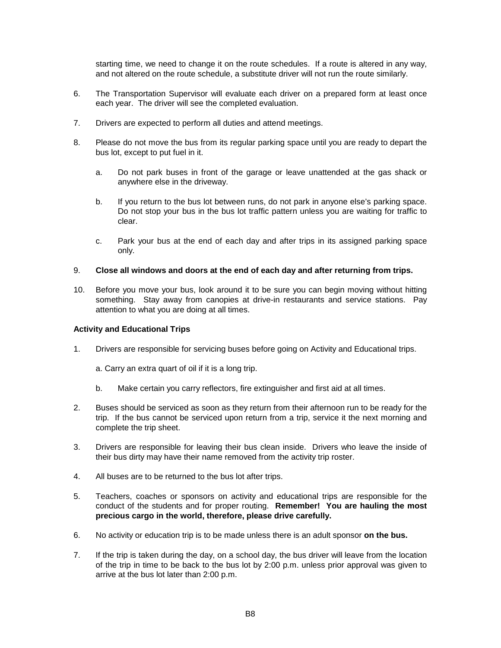starting time, we need to change it on the route schedules. If a route is altered in any way, and not altered on the route schedule, a substitute driver will not run the route similarly.

- 6. The Transportation Supervisor will evaluate each driver on a prepared form at least once each year. The driver will see the completed evaluation.
- 7. Drivers are expected to perform all duties and attend meetings.
- 8. Please do not move the bus from its regular parking space until you are ready to depart the bus lot, except to put fuel in it.
	- a. Do not park buses in front of the garage or leave unattended at the gas shack or anywhere else in the driveway.
	- b. If you return to the bus lot between runs, do not park in anyone else's parking space. Do not stop your bus in the bus lot traffic pattern unless you are waiting for traffic to clear.
	- c. Park your bus at the end of each day and after trips in its assigned parking space only.

## 9. **Close all windows and doors at the end of each day and after returning from trips.**

10. Before you move your bus, look around it to be sure you can begin moving without hitting something. Stay away from canopies at drive-in restaurants and service stations. Pay attention to what you are doing at all times.

## **Activity and Educational Trips**

- 1. Drivers are responsible for servicing buses before going on Activity and Educational trips.
	- a. Carry an extra quart of oil if it is a long trip.
	- b. Make certain you carry reflectors, fire extinguisher and first aid at all times.
- 2. Buses should be serviced as soon as they return from their afternoon run to be ready for the trip. If the bus cannot be serviced upon return from a trip, service it the next morning and complete the trip sheet.
- 3. Drivers are responsible for leaving their bus clean inside. Drivers who leave the inside of their bus dirty may have their name removed from the activity trip roster.
- 4. All buses are to be returned to the bus lot after trips.
- 5. Teachers, coaches or sponsors on activity and educational trips are responsible for the conduct of the students and for proper routing. **Remember! You are hauling the most precious cargo in the world, therefore, please drive carefully.**
- 6. No activity or education trip is to be made unless there is an adult sponsor **on the bus.**
- 7. If the trip is taken during the day, on a school day, the bus driver will leave from the location of the trip in time to be back to the bus lot by 2:00 p.m. unless prior approval was given to arrive at the bus lot later than 2:00 p.m.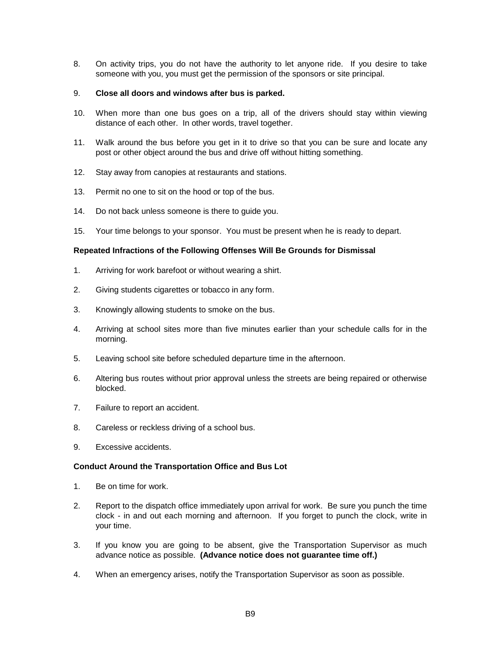8. On activity trips, you do not have the authority to let anyone ride. If you desire to take someone with you, you must get the permission of the sponsors or site principal.

## 9. **Close all doors and windows after bus is parked.**

- 10. When more than one bus goes on a trip, all of the drivers should stay within viewing distance of each other. In other words, travel together.
- 11. Walk around the bus before you get in it to drive so that you can be sure and locate any post or other object around the bus and drive off without hitting something.
- 12. Stay away from canopies at restaurants and stations.
- 13. Permit no one to sit on the hood or top of the bus.
- 14. Do not back unless someone is there to guide you.
- 15. Your time belongs to your sponsor. You must be present when he is ready to depart.

## **Repeated Infractions of the Following Offenses Will Be Grounds for Dismissal**

- 1. Arriving for work barefoot or without wearing a shirt.
- 2. Giving students cigarettes or tobacco in any form.
- 3. Knowingly allowing students to smoke on the bus.
- 4. Arriving at school sites more than five minutes earlier than your schedule calls for in the morning.
- 5. Leaving school site before scheduled departure time in the afternoon.
- 6. Altering bus routes without prior approval unless the streets are being repaired or otherwise blocked.
- 7. Failure to report an accident.
- 8. Careless or reckless driving of a school bus.
- 9. Excessive accidents.

## **Conduct Around the Transportation Office and Bus Lot**

- 1. Be on time for work.
- 2. Report to the dispatch office immediately upon arrival for work. Be sure you punch the time clock - in and out each morning and afternoon. If you forget to punch the clock, write in your time.
- 3. If you know you are going to be absent, give the Transportation Supervisor as much advance notice as possible. **(Advance notice does not guarantee time off.)**
- 4. When an emergency arises, notify the Transportation Supervisor as soon as possible.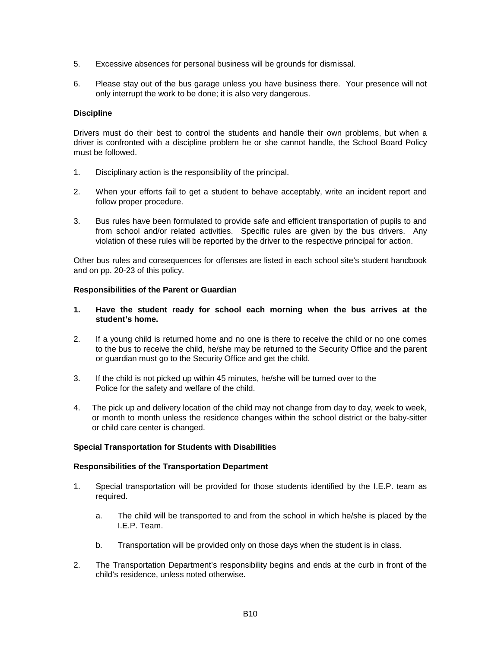- 5. Excessive absences for personal business will be grounds for dismissal.
- 6. Please stay out of the bus garage unless you have business there. Your presence will not only interrupt the work to be done; it is also very dangerous.

## **Discipline**

Drivers must do their best to control the students and handle their own problems, but when a driver is confronted with a discipline problem he or she cannot handle, the School Board Policy must be followed.

- 1. Disciplinary action is the responsibility of the principal.
- 2. When your efforts fail to get a student to behave acceptably, write an incident report and follow proper procedure.
- 3. Bus rules have been formulated to provide safe and efficient transportation of pupils to and from school and/or related activities. Specific rules are given by the bus drivers. Any violation of these rules will be reported by the driver to the respective principal for action.

Other bus rules and consequences for offenses are listed in each school site's student handbook and on pp. 20-23 of this policy.

## **Responsibilities of the Parent or Guardian**

- **1. Have the student ready for school each morning when the bus arrives at the student's home.**
- 2. If a young child is returned home and no one is there to receive the child or no one comes to the bus to receive the child, he/she may be returned to the Security Office and the parent or guardian must go to the Security Office and get the child.
- 3. If the child is not picked up within 45 minutes, he/she will be turned over to the Police for the safety and welfare of the child.
- 4. The pick up and delivery location of the child may not change from day to day, week to week, or month to month unless the residence changes within the school district or the baby-sitter or child care center is changed.

## **Special Transportation for Students with Disabilities**

## **Responsibilities of the Transportation Department**

- 1. Special transportation will be provided for those students identified by the I.E.P. team as required.
	- a. The child will be transported to and from the school in which he/she is placed by the I.E.P. Team.
	- b. Transportation will be provided only on those days when the student is in class.
- 2. The Transportation Department's responsibility begins and ends at the curb in front of the child's residence, unless noted otherwise.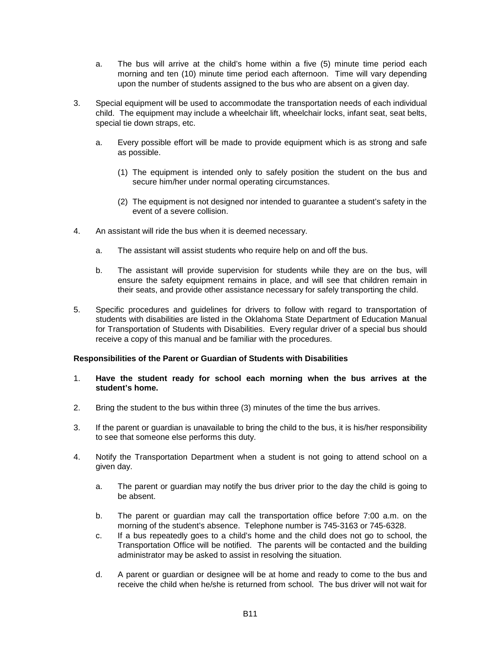- a. The bus will arrive at the child's home within a five (5) minute time period each morning and ten (10) minute time period each afternoon. Time will vary depending upon the number of students assigned to the bus who are absent on a given day.
- 3. Special equipment will be used to accommodate the transportation needs of each individual child. The equipment may include a wheelchair lift, wheelchair locks, infant seat, seat belts, special tie down straps, etc.
	- a. Every possible effort will be made to provide equipment which is as strong and safe as possible.
		- (1) The equipment is intended only to safely position the student on the bus and secure him/her under normal operating circumstances.
		- (2) The equipment is not designed nor intended to guarantee a student's safety in the event of a severe collision.
- 4. An assistant will ride the bus when it is deemed necessary.
	- a. The assistant will assist students who require help on and off the bus.
	- b. The assistant will provide supervision for students while they are on the bus, will ensure the safety equipment remains in place, and will see that children remain in their seats, and provide other assistance necessary for safely transporting the child.
- 5. Specific procedures and guidelines for drivers to follow with regard to transportation of students with disabilities are listed in the Oklahoma State Department of Education Manual for Transportation of Students with Disabilities. Every regular driver of a special bus should receive a copy of this manual and be familiar with the procedures.

## **Responsibilities of the Parent or Guardian of Students with Disabilities**

- 1. **Have the student ready for school each morning when the bus arrives at the student's home.**
- 2. Bring the student to the bus within three (3) minutes of the time the bus arrives.
- 3. If the parent or guardian is unavailable to bring the child to the bus, it is his/her responsibility to see that someone else performs this duty.
- 4. Notify the Transportation Department when a student is not going to attend school on a given day.
	- a. The parent or guardian may notify the bus driver prior to the day the child is going to be absent.
	- b. The parent or guardian may call the transportation office before 7:00 a.m. on the morning of the student's absence. Telephone number is 745-3163 or 745-6328.
	- c. If a bus repeatedly goes to a child's home and the child does not go to school, the Transportation Office will be notified. The parents will be contacted and the building administrator may be asked to assist in resolving the situation.
	- d. A parent or guardian or designee will be at home and ready to come to the bus and receive the child when he/she is returned from school. The bus driver will not wait for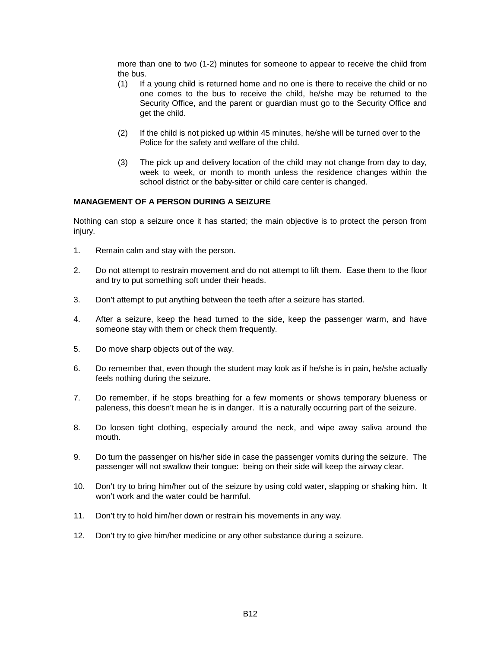more than one to two (1-2) minutes for someone to appear to receive the child from the bus.

- (1) If a young child is returned home and no one is there to receive the child or no one comes to the bus to receive the child, he/she may be returned to the Security Office, and the parent or guardian must go to the Security Office and get the child.
- (2) If the child is not picked up within 45 minutes, he/she will be turned over to the Police for the safety and welfare of the child.
- (3) The pick up and delivery location of the child may not change from day to day, week to week, or month to month unless the residence changes within the school district or the baby-sitter or child care center is changed.

## **MANAGEMENT OF A PERSON DURING A SEIZURE**

Nothing can stop a seizure once it has started; the main objective is to protect the person from injury.

- 1. Remain calm and stay with the person.
- 2. Do not attempt to restrain movement and do not attempt to lift them. Ease them to the floor and try to put something soft under their heads.
- 3. Don't attempt to put anything between the teeth after a seizure has started.
- 4. After a seizure, keep the head turned to the side, keep the passenger warm, and have someone stay with them or check them frequently.
- 5. Do move sharp objects out of the way.
- 6. Do remember that, even though the student may look as if he/she is in pain, he/she actually feels nothing during the seizure.
- 7. Do remember, if he stops breathing for a few moments or shows temporary blueness or paleness, this doesn't mean he is in danger. It is a naturally occurring part of the seizure.
- 8. Do loosen tight clothing, especially around the neck, and wipe away saliva around the mouth.
- 9. Do turn the passenger on his/her side in case the passenger vomits during the seizure. The passenger will not swallow their tongue: being on their side will keep the airway clear.
- 10. Don't try to bring him/her out of the seizure by using cold water, slapping or shaking him. It won't work and the water could be harmful.
- 11. Don't try to hold him/her down or restrain his movements in any way.
- 12. Don't try to give him/her medicine or any other substance during a seizure.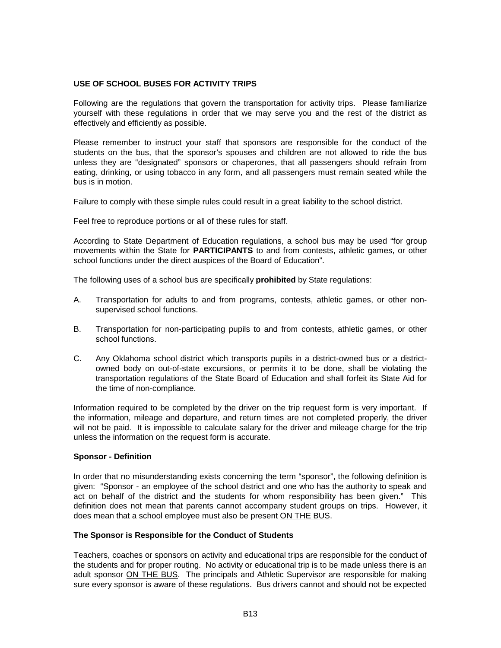## **USE OF SCHOOL BUSES FOR ACTIVITY TRIPS**

Following are the regulations that govern the transportation for activity trips. Please familiarize yourself with these regulations in order that we may serve you and the rest of the district as effectively and efficiently as possible.

Please remember to instruct your staff that sponsors are responsible for the conduct of the students on the bus, that the sponsor's spouses and children are not allowed to ride the bus unless they are "designated" sponsors or chaperones, that all passengers should refrain from eating, drinking, or using tobacco in any form, and all passengers must remain seated while the bus is in motion.

Failure to comply with these simple rules could result in a great liability to the school district.

Feel free to reproduce portions or all of these rules for staff.

According to State Department of Education regulations, a school bus may be used "for group movements within the State for **PARTICIPANTS** to and from contests, athletic games, or other school functions under the direct auspices of the Board of Education".

The following uses of a school bus are specifically **prohibited** by State regulations:

- A. Transportation for adults to and from programs, contests, athletic games, or other nonsupervised school functions.
- B. Transportation for non-participating pupils to and from contests, athletic games, or other school functions.
- C. Any Oklahoma school district which transports pupils in a district-owned bus or a districtowned body on out-of-state excursions, or permits it to be done, shall be violating the transportation regulations of the State Board of Education and shall forfeit its State Aid for the time of non-compliance.

Information required to be completed by the driver on the trip request form is very important. If the information, mileage and departure, and return times are not completed properly, the driver will not be paid. It is impossible to calculate salary for the driver and mileage charge for the trip unless the information on the request form is accurate.

## **Sponsor - Definition**

In order that no misunderstanding exists concerning the term "sponsor", the following definition is given: "Sponsor - an employee of the school district and one who has the authority to speak and act on behalf of the district and the students for whom responsibility has been given." This definition does not mean that parents cannot accompany student groups on trips. However, it does mean that a school employee must also be present ON THE BUS.

## **The Sponsor is Responsible for the Conduct of Students**

Teachers, coaches or sponsors on activity and educational trips are responsible for the conduct of the students and for proper routing. No activity or educational trip is to be made unless there is an adult sponsor ON THE BUS. The principals and Athletic Supervisor are responsible for making sure every sponsor is aware of these regulations. Bus drivers cannot and should not be expected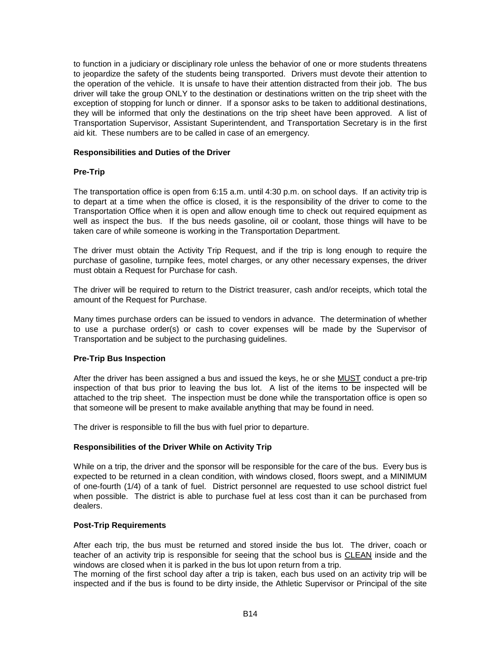to function in a judiciary or disciplinary role unless the behavior of one or more students threatens to jeopardize the safety of the students being transported. Drivers must devote their attention to the operation of the vehicle. It is unsafe to have their attention distracted from their job. The bus driver will take the group ONLY to the destination or destinations written on the trip sheet with the exception of stopping for lunch or dinner. If a sponsor asks to be taken to additional destinations, they will be informed that only the destinations on the trip sheet have been approved. A list of Transportation Supervisor, Assistant Superintendent, and Transportation Secretary is in the first aid kit. These numbers are to be called in case of an emergency.

## **Responsibilities and Duties of the Driver**

# **Pre-Trip**

The transportation office is open from 6:15 a.m. until 4:30 p.m. on school days. If an activity trip is to depart at a time when the office is closed, it is the responsibility of the driver to come to the Transportation Office when it is open and allow enough time to check out required equipment as well as inspect the bus. If the bus needs gasoline, oil or coolant, those things will have to be taken care of while someone is working in the Transportation Department.

The driver must obtain the Activity Trip Request, and if the trip is long enough to require the purchase of gasoline, turnpike fees, motel charges, or any other necessary expenses, the driver must obtain a Request for Purchase for cash.

The driver will be required to return to the District treasurer, cash and/or receipts, which total the amount of the Request for Purchase.

Many times purchase orders can be issued to vendors in advance. The determination of whether to use a purchase order(s) or cash to cover expenses will be made by the Supervisor of Transportation and be subject to the purchasing guidelines.

# **Pre-Trip Bus Inspection**

After the driver has been assigned a bus and issued the keys, he or she MUST conduct a pre-trip inspection of that bus prior to leaving the bus lot. A list of the items to be inspected will be attached to the trip sheet. The inspection must be done while the transportation office is open so that someone will be present to make available anything that may be found in need.

The driver is responsible to fill the bus with fuel prior to departure.

# **Responsibilities of the Driver While on Activity Trip**

While on a trip, the driver and the sponsor will be responsible for the care of the bus. Every bus is expected to be returned in a clean condition, with windows closed, floors swept, and a MINIMUM of one-fourth (1/4) of a tank of fuel. District personnel are requested to use school district fuel when possible. The district is able to purchase fuel at less cost than it can be purchased from dealers.

## **Post-Trip Requirements**

After each trip, the bus must be returned and stored inside the bus lot. The driver, coach or teacher of an activity trip is responsible for seeing that the school bus is CLEAN inside and the windows are closed when it is parked in the bus lot upon return from a trip.

The morning of the first school day after a trip is taken, each bus used on an activity trip will be inspected and if the bus is found to be dirty inside, the Athletic Supervisor or Principal of the site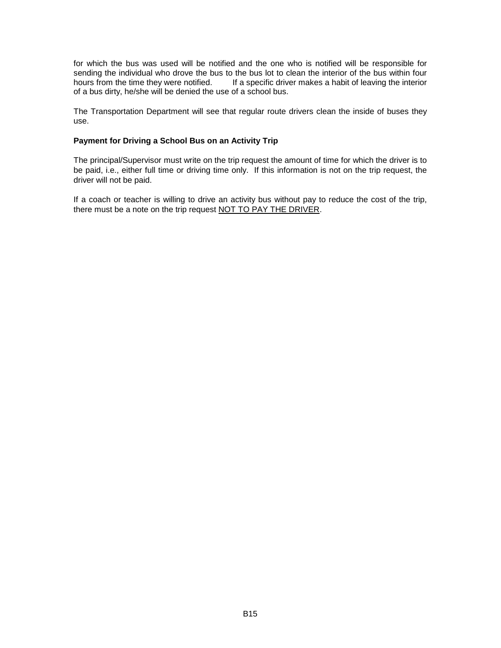for which the bus was used will be notified and the one who is notified will be responsible for sending the individual who drove the bus to the bus lot to clean the interior of the bus within four<br>hours from the time they were notified. If a specific driver makes a habit of leaving the interior If a specific driver makes a habit of leaving the interior of a bus dirty, he/she will be denied the use of a school bus.

The Transportation Department will see that regular route drivers clean the inside of buses they use.

## **Payment for Driving a School Bus on an Activity Trip**

The principal/Supervisor must write on the trip request the amount of time for which the driver is to be paid, i.e., either full time or driving time only. If this information is not on the trip request, the driver will not be paid.

If a coach or teacher is willing to drive an activity bus without pay to reduce the cost of the trip, there must be a note on the trip request NOT TO PAY THE DRIVER.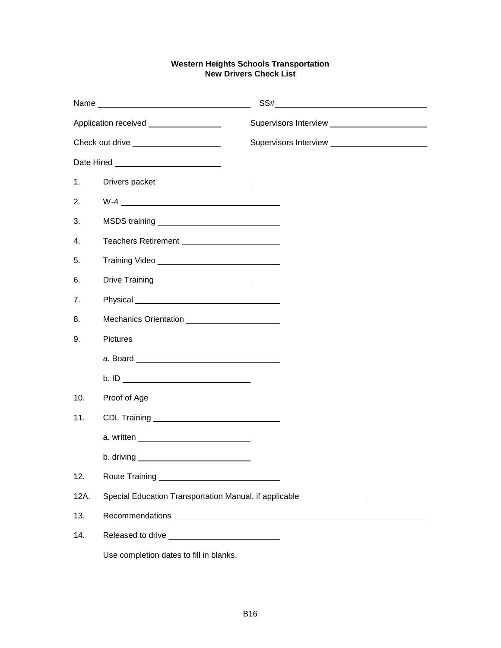# **Western Heights Schools Transportation New Drivers Check List**

| Application received _________________ |                                                        | Supervisors Interview ________________________ |
|----------------------------------------|--------------------------------------------------------|------------------------------------------------|
| Check out drive ______________________ |                                                        |                                                |
|                                        |                                                        |                                                |
| 1.                                     | Drivers packet _______________________                 |                                                |
| 2.                                     |                                                        |                                                |
| 3.                                     |                                                        |                                                |
| 4.                                     | Teachers Retirement ________________________           |                                                |
| 5.                                     |                                                        |                                                |
| 6.                                     | Drive Training ________________________                |                                                |
| 7 <sub>1</sub>                         |                                                        |                                                |
| 8.                                     | Mechanics Orientation ________________________         |                                                |
| 9.                                     | <b>Pictures</b>                                        |                                                |
|                                        |                                                        |                                                |
|                                        |                                                        |                                                |
| 10.                                    | Proof of Age                                           |                                                |
| 11.                                    |                                                        |                                                |
|                                        |                                                        |                                                |
|                                        |                                                        |                                                |
| 12.                                    | Route Training <b>Example 2018</b>                     |                                                |
| 12A.                                   | Special Education Transportation Manual, if applicable |                                                |
| 13.                                    |                                                        |                                                |
| 14.                                    |                                                        |                                                |
|                                        | Use completion dates to fill in blanks.                |                                                |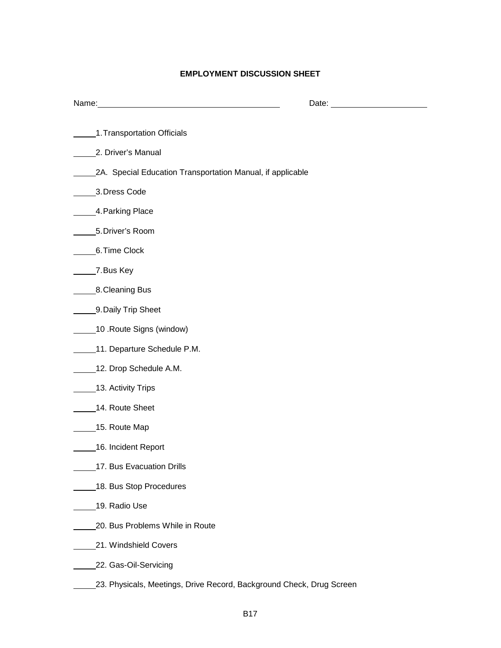# **EMPLOYMENT DISCUSSION SHEET**

| Name:                                                      | Date: |
|------------------------------------------------------------|-------|
| 1. Transportation Officials                                |       |
| 2. Driver's Manual                                         |       |
| 2A. Special Education Transportation Manual, if applicable |       |
| 3. Dress Code                                              |       |
| 4. Parking Place                                           |       |
| 5. Driver's Room                                           |       |
| 6. Time Clock                                              |       |
| 7. Bus Key                                                 |       |
| 8. Cleaning Bus                                            |       |
| 9. Daily Trip Sheet                                        |       |
| 10 .Route Signs (window)                                   |       |
| 11. Departure Schedule P.M.                                |       |
| 12. Drop Schedule A.M.                                     |       |
| 13. Activity Trips                                         |       |
| 14. Route Sheet                                            |       |
| 15. Route Map                                              |       |
| 16. Incident Report                                        |       |
| 17. Bus Evacuation Drills                                  |       |
| 18. Bus Stop Procedures                                    |       |
| 19. Radio Use                                              |       |
| 20. Bus Problems While in Route                            |       |
| 21. Windshield Covers                                      |       |
| 22. Gas-Oil-Servicing                                      |       |
|                                                            |       |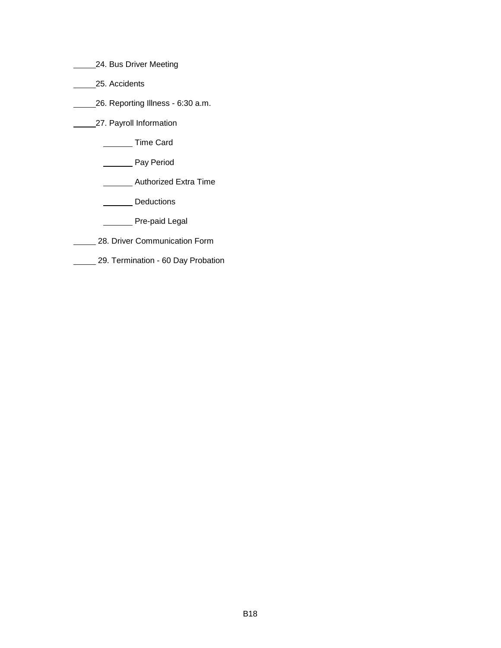- **24. Bus Driver Meeting**
- \_\_\_\_\_\_\_25. Accidents
- 26. Reporting Illness 6:30 a.m.
- **27. Payroll Information** 
	- **Time Card**
	- **Pay Period** 
		- **Muthorized Extra Time**
		- **Deductions**
		- **Manuel** Pre-paid Legal
	- 28. Driver Communication Form
- 29. Termination 60 Day Probation